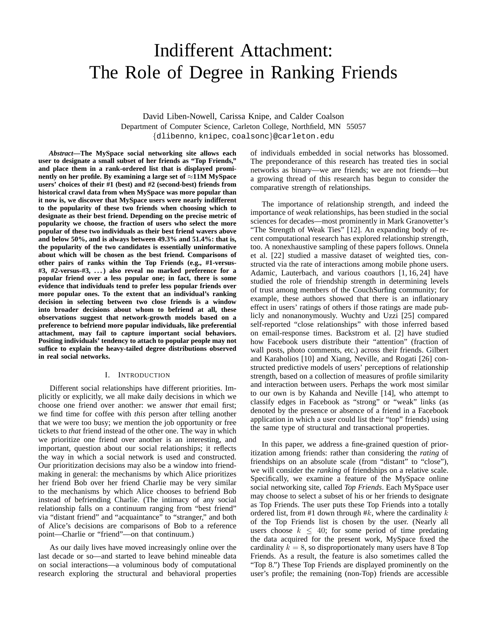# Indifferent Attachment: The Role of Degree in Ranking Friends

David Liben-Nowell, Carissa Knipe, and Calder Coalson Department of Computer Science, Carleton College, Northfield, MN 55057 {dlibenno, knipec, coalsonc}@carleton.edu

*Abstract***—The MySpace social networking site allows each user to designate a small subset of her friends as "Top Friends," and place them in a rank-ordered list that is displayed prominently on her profile. By examining a large set of** ≈**11M MySpace users' choices of their #1 (best) and #2 (second-best) friends from historical crawl data from when MySpace was more popular than it now is, we discover that MySpace users were nearly indifferent to the popularity of these two friends when choosing which to designate as their best friend. Depending on the precise metric of popularity we choose, the fraction of users who select the more popular of these two individuals as their best friend wavers above and below 50%, and is always between 49.3% and 51.4%: that is, the popularity of the two candidates is essentially uninformative about which will be chosen as the best friend. Comparisons of other pairs of ranks within the Top Friends (e.g., #1-versus- #3, #2-versus-#3, . . . ) also reveal no marked preference for a popular friend over a less popular one; in fact, there is some evidence that individuals tend to prefer less popular friends over more popular ones. To the extent that an individual's ranking decision in selecting between two close friends is a window into broader decisions about whom to befriend at all, these observations suggest that network-growth models based on a preference to befriend more popular individuals, like preferential attachment, may fail to capture important social behaviors. Positing individuals' tendency to attach to popular people may not suffice to explain the heavy-tailed degree distributions observed in real social networks.**

## I. INTRODUCTION

Different social relationships have different priorities. Implicitly or explicitly, we all make daily decisions in which we choose one friend over another: we answer *that* email first; we find time for coffee with *this* person after telling another that we were too busy; we mention the job opportunity or free tickets to *that* friend instead of the other one. The way in which we prioritize one friend over another is an interesting, and important, question about our social relationships; it reflects the way in which a social network is used and constructed. Our prioritization decisions may also be a window into friendmaking in general: the mechanisms by which Alice prioritizes her friend Bob over her friend Charlie may be very similar to the mechanisms by which Alice chooses to befriend Bob instead of befriending Charlie. (The intimacy of any social relationship falls on a continuum ranging from "best friend" via "distant friend" and "acquaintance" to "stranger," and both of Alice's decisions are comparisons of Bob to a reference point—Charlie or "friend"—on that continuum.)

As our daily lives have moved increasingly online over the last decade or so—and started to leave behind mineable data on social interactions—a voluminous body of computational research exploring the structural and behavioral properties of individuals embedded in social networks has blossomed. The preponderance of this research has treated ties in social networks as binary—we are friends; we are not friends—but a growing thread of this research has begun to consider the comparative strength of relationships.

The importance of relationship strength, and indeed the importance of *weak* relationships, has been studied in the social sciences for decades—most prominently in Mark Granovetter's "The Strength of Weak Ties" [12]. An expanding body of recent computational research has explored relationship strength, too. A nonexhaustive sampling of these papers follows. Onnela et al. [22] studied a massive dataset of weighted ties, constructed via the rate of interactions among mobile phone users. Adamic, Lauterbach, and various coauthors [1, 16, 24] have studied the role of friendship strength in determining levels of trust among members of the CouchSurfing community; for example, these authors showed that there is an inflationary effect in users' ratings of others if those ratings are made publicly and nonanonymously. Wuchty and Uzzi [25] compared self-reported "close relationships" with those inferred based on email-response times. Backstrom et al. [2] have studied how Facebook users distribute their "attention" (fraction of wall posts, photo comments, etc.) across their friends. Gilbert and Karaholios [10] and Xiang, Neville, and Rogati [26] constructed predictive models of users' perceptions of relationship strength, based on a collection of measures of profile similarity and interaction between users. Perhaps the work most similar to our own is by Kahanda and Neville [14], who attempt to classify edges in Facebook as "strong" or "weak" links (as denoted by the presence or absence of a friend in a Facebook application in which a user could list their "top" friends) using the same type of structural and transactional properties.

In this paper, we address a fine-grained question of prioritization among friends: rather than considering the *rating* of friendships on an absolute scale (from "distant" to "close"), we will consider the *ranking* of friendships on a relative scale. Specifically, we examine a feature of the MySpace online social networking site, called *Top Friends*. Each MySpace user may choose to select a subset of his or her friends to designate as Top Friends. The user puts these Top Friends into a totally ordered list, from #1 down through  $#k$ , where the cardinality  $k$ of the Top Friends list is chosen by the user. (Nearly all users choose  $k \leq 40$ ; for some period of time predating the data acquired for the present work, MySpace fixed the cardinality  $k = 8$ , so disproportionately many users have 8 Top Friends. As a result, the feature is also sometimes called the "Top 8.") These Top Friends are displayed prominently on the user's profile; the remaining (non-Top) friends are accessible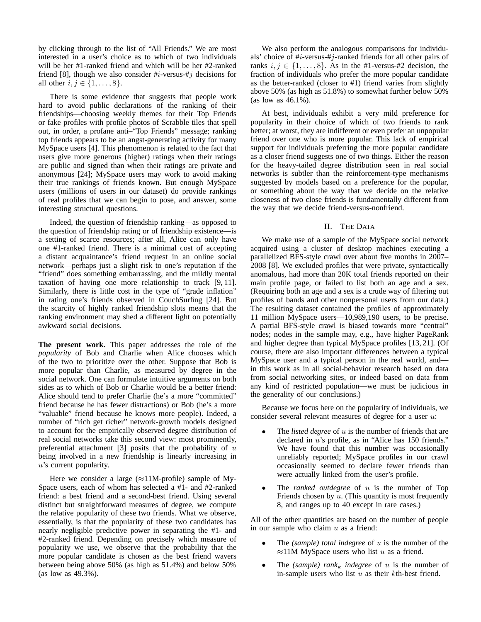by clicking through to the list of "All Friends." We are most interested in a user's choice as to which of two individuals will be her #1-ranked friend and which will be her #2-ranked friend [8], though we also consider  $\#i$ -versus- $\#j$  decisions for all other  $i, j \in \{1, ..., 8\}$ .

There is some evidence that suggests that people work hard to avoid public declarations of the ranking of their friendships—choosing weekly themes for their Top Friends or fake profiles with profile photos of Scrabble tiles that spell out, in order, a profane anti–"Top Friends" message; ranking top friends appears to be an angst-generating activity for many MySpace users [4]. This phenomenon is related to the fact that users give more generous (higher) ratings when their ratings are public and signed than when their ratings are private and anonymous [24]; MySpace users may work to avoid making their true rankings of friends known. But enough MySpace users (millions of users in our dataset) do provide rankings of real profiles that we can begin to pose, and answer, some interesting structural questions.

Indeed, the question of friendship ranking—as opposed to the question of friendship rating or of friendship existence—is a setting of scarce resources; after all, Alice can only have one #1-ranked friend. There is a minimal cost of accepting a distant acquaintance's friend request in an online social network—perhaps just a slight risk to one's reputation if the "friend" does something embarrassing, and the mildly mental taxation of having one more relationship to track [9, 11]. Similarly, there is little cost in the type of "grade inflation" in rating one's friends observed in CouchSurfing [24]. But the scarcity of highly ranked friendship slots means that the ranking environment may shed a different light on potentially awkward social decisions.

**The present work.** This paper addresses the role of the *popularity* of Bob and Charlie when Alice chooses which of the two to prioritize over the other. Suppose that Bob is more popular than Charlie, as measured by degree in the social network. One can formulate intuitive arguments on both sides as to which of Bob or Charlie would be a better friend: Alice should tend to prefer Charlie (he's a more "committed" friend because he has fewer distractions) or Bob (he's a more "valuable" friend because he knows more people). Indeed, a number of "rich get richer" network-growth models designed to account for the empirically observed degree distribution of real social networks take this second view: most prominently, preferential attachment [3] posits that the probability of  $u$ being involved in a new friendship is linearly increasing in u's current popularity.

Here we consider a large ( $\approx$ 11M-profile) sample of My-Space users, each of whom has selected a #1- and #2-ranked friend: a best friend and a second-best friend. Using several distinct but straightforward measures of degree, we compute the relative popularity of these two friends. What we observe, essentially, is that the popularity of these two candidates has nearly negligible predictive power in separating the #1- and #2-ranked friend. Depending on precisely which measure of popularity we use, we observe that the probability that the more popular candidate is chosen as the best friend wavers between being above 50% (as high as 51.4%) and below 50% (as low as 49.3%).

We also perform the analogous comparisons for individuals' choice of  $\#i$ -versus- $\#j$ -ranked friends for all other pairs of ranks  $i, j \in \{1, \ldots, 8\}$ . As in the #1-versus-#2 decision, the fraction of individuals who prefer the more popular candidate as the better-ranked (closer to #1) friend varies from slightly above 50% (as high as 51.8%) to somewhat further below 50% (as low as 46.1%).

At best, individuals exhibit a very mild preference for popularity in their choice of which of two friends to rank better; at worst, they are indifferent or even prefer an unpopular friend over one who is more popular. This lack of empirical support for individuals preferring the more popular candidate as a closer friend suggests one of two things. Either the reason for the heavy-tailed degree distribution seen in real social networks is subtler than the reinforcement-type mechanisms suggested by models based on a preference for the popular, or something about the way that we decide on the relative closeness of two close friends is fundamentally different from the way that we decide friend-versus-nonfriend.

## II. THE DATA

We make use of a sample of the MySpace social network acquired using a cluster of desktop machines executing a parallelized BFS-style crawl over about five months in 2007– 2008 [8]. We excluded profiles that were private, syntactically anomalous, had more than 20K total friends reported on their main profile page, or failed to list both an age and a sex. (Requiring both an age and a sex is a crude way of filtering out profiles of bands and other nonpersonal users from our data.) The resulting dataset contained the profiles of approximately 11 million MySpace users—10,989,190 users, to be precise. A partial BFS-style crawl is biased towards more "central" nodes; nodes in the sample may, e.g., have higher PageRank and higher degree than typical MySpace profiles [13, 21]. (Of course, there are also important differences between a typical MySpace user and a typical person in the real world, and in this work as in all social-behavior research based on data from social networking sites, or indeed based on data from any kind of restricted population—we must be judicious in the generality of our conclusions.)

Because we focus here on the popularity of individuals, we consider several relevant measures of degree for a user u:

- The *listed degree* of u is the number of friends that are declared in u's profile, as in "Alice has 150 friends." We have found that this number was occasionally unreliably reported; MySpace profiles in our crawl occasionally seemed to declare fewer friends than were actually linked from the user's profile.
- The *ranked outdegree* of  $u$  is the number of Top Friends chosen by  $u$ . (This quantity is most frequently 8, and ranges up to 40 except in rare cases.)

All of the other quantities are based on the number of people in our sample who claim  $u$  as a friend:

- The *(sample) total indegree* of u is the number of the  $\approx$ 11M MySpace users who list u as a friend.
- The *(sample)* rank<sub>k</sub> indegree of u is the number of in-sample users who list  $u$  as their  $k$ th-best friend.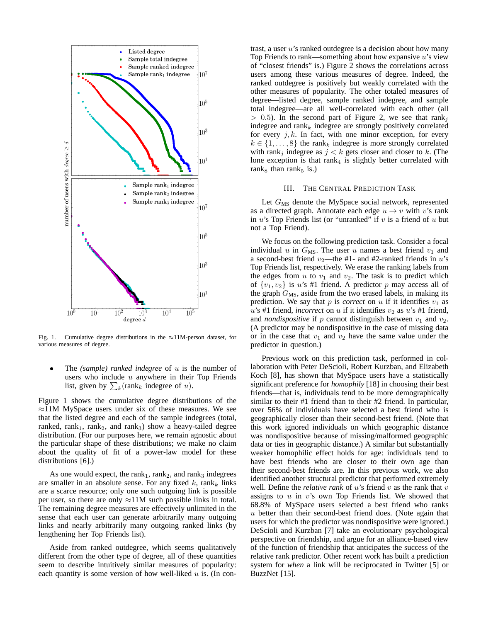

Fig. 1. Cumulative degree distributions in the ≈11M-person dataset, for various measures of degree.

• The *(sample) ranked indegree* of u is the number of users who include  $u$  anywhere in their Top Friends list, given by  $\sum_{k}$ (rank<sub>k</sub> indegree of u).

Figure 1 shows the cumulative degree distributions of the ≈11M MySpace users under six of these measures. We see that the listed degree and each of the sample indegrees (total, ranked, rank<sub>1</sub>, rank<sub>2</sub>, and rank<sub>3</sub>) show a heavy-tailed degree distribution. (For our purposes here, we remain agnostic about the particular shape of these distributions; we make no claim about the quality of fit of a power-law model for these distributions [6].)

As one would expect, the rank<sub>1</sub>, rank<sub>2</sub>, and rank<sub>3</sub> indegrees are smaller in an absolute sense. For any fixed k, rank<sub>k</sub> links are a scarce resource; only one such outgoing link is possible per user, so there are only  $\approx$ 11M such possible links in total. The remaining degree measures are effectively unlimited in the sense that each user can generate arbitrarily many outgoing links and nearly arbitrarily many outgoing ranked links (by lengthening her Top Friends list).

Aside from ranked outdegree, which seems qualitatively different from the other type of degree, all of these quantities seem to describe intuitively similar measures of popularity: each quantity is some version of how well-liked  $u$  is. (In contrast, a user u's ranked outdegree is a decision about how many Top Friends to rank—something about how expansive  $u$ 's view of "closest friends" is.) Figure 2 shows the correlations across users among these various measures of degree. Indeed, the ranked outdegree is positively but weakly correlated with the other measures of popularity. The other totaled measures of degree—listed degree, sample ranked indegree, and sample total indegree—are all well-correlated with each other (all  $> 0.5$ ). In the second part of Figure 2, we see that rank<sub>i</sub> indegree and rank<sub>k</sub> indegree are strongly positively correlated for every  $j, k$ . In fact, with one minor exception, for every  $k \in \{1, \ldots, 8\}$  the rank<sub>k</sub> indegree is more strongly correlated with rank<sub>j</sub> indegree as  $j < k$  gets closer and closer to k. (The lone exception is that  $rank_4$  is slightly better correlated with rank $_8$  than rank $_5$  is.)

### III. THE CENTRAL PREDICTION TASK

Let  $G_{\text{MS}}$  denote the MySpace social network, represented as a directed graph. Annotate each edge  $u \rightarrow v$  with v's rank in  $u$ 's Top Friends list (or "unranked" if  $v$  is a friend of  $u$  but not a Top Friend).

We focus on the following prediction task. Consider a focal individual u in  $G_{\text{MS}}$ . The user u names a best friend  $v_1$  and a second-best friend  $v_2$ —the #1- and #2-ranked friends in u's Top Friends list, respectively. We erase the ranking labels from the edges from  $u$  to  $v_1$  and  $v_2$ . The task is to predict which of  $\{v_1, v_2\}$  is u's #1 friend. A predictor p may access all of the graph  $G_{\text{MS}}$ , aside from the two erased labels, in making its prediction. We say that  $p$  is *correct* on  $u$  if it identifies  $v_1$  as  $u$ 's #1 friend, *incorrect* on u if it identifies  $v_2$  as u's #1 friend, and *nondispositive* if  $p$  cannot distinguish between  $v_1$  and  $v_2$ . (A predictor may be nondispositive in the case of missing data or in the case that  $v_1$  and  $v_2$  have the same value under the predictor in question.)

Previous work on this prediction task, performed in collaboration with Peter DeScioli, Robert Kurzban, and Elizabeth Koch [8], has shown that MySpace users have a statistically significant preference for *homophily* [18] in choosing their best friends—that is, individuals tend to be more demographically similar to their #1 friend than to their #2 friend. In particular, over 56% of individuals have selected a best friend who is geographically closer than their second-best friend. (Note that this work ignored individuals on which geographic distance was nondispositive because of missing/malformed geographic data or ties in geographic distance.) A similar but substantially weaker homophilic effect holds for age: individuals tend to have best friends who are closer to their own age than their second-best friends are. In this previous work, we also identified another structural predictor that performed extremely well. Define the *relative rank* of  $u$ 's friend  $v$  as the rank that  $v$ assigns to  $u$  in  $v$ 's own Top Friends list. We showed that 68.8% of MySpace users selected a best friend who ranks u better than their second-best friend does. (Note again that users for which the predictor was nondispositive were ignored.) DeScioli and Kurzban [7] take an evolutionary psychological perspective on friendship, and argue for an alliance-based view of the function of friendship that anticipates the success of the relative rank predictor. Other recent work has built a prediction system for *when* a link will be reciprocated in Twitter [5] or BuzzNet [15].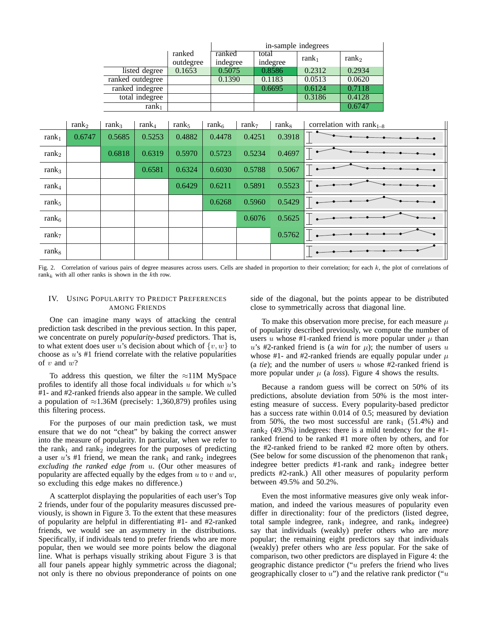|                   |                   |                   |                 |                                           |                   | in-sample indegrees |  |                   |                   |                                |  |
|-------------------|-------------------|-------------------|-----------------|-------------------------------------------|-------------------|---------------------|--|-------------------|-------------------|--------------------------------|--|
|                   |                   |                   |                 | ranked<br>ranked<br>indegree<br>outdegree |                   | total<br>indegree   |  | ran $k_1$         | rank <sub>2</sub> |                                |  |
|                   |                   |                   | listed degree   | 0.1653                                    | 0.5075            |                     |  | 0.8586            | 0.2312            | 0.2934                         |  |
|                   | ranked outdegree  |                   |                 |                                           | 0.1390            |                     |  | 0.1183            | 0.0513            | 0.0620                         |  |
|                   |                   |                   | ranked indegree |                                           |                   |                     |  | 0.6695            | 0.6124            | 0.7118                         |  |
|                   |                   |                   | total indegree  |                                           |                   |                     |  |                   | 0.3186            | 0.4128                         |  |
|                   |                   |                   | ran $k_1$       |                                           |                   |                     |  |                   |                   | 0.6747                         |  |
|                   |                   |                   |                 |                                           |                   |                     |  |                   |                   |                                |  |
|                   | rank <sub>2</sub> | rank <sub>3</sub> | $rank_4$        | $rank_5$                                  | rank <sub>6</sub> | rank <sub>7</sub>   |  | rank <sub>8</sub> |                   | correlation with rank $_{1-8}$ |  |
| ran $k_1$         | 0.6747            | 0.5685            | 0.5253          | 0.4882                                    | 0.4478            | 0.4251              |  | 0.3918            |                   |                                |  |
| rank <sub>2</sub> |                   | 0.6818            | 0.6319          | 0.5970                                    | 0.5723            | 0.5234              |  | 0.4697            |                   |                                |  |
| ran $k_3$         |                   |                   | 0.6581          | 0.6324                                    | 0.6030            | 0.5788              |  | 0.5067            |                   |                                |  |
| ran $k_4$         |                   |                   |                 | 0.6429                                    | 0.6211            | 0.5891              |  | 0.5523            |                   |                                |  |
| $rank_5$          |                   |                   |                 |                                           | 0.6268            | 0.5960              |  | 0.5429            |                   |                                |  |
| rank <sub>6</sub> |                   |                   |                 |                                           |                   | 0.6076              |  | 0.5625            |                   |                                |  |
| ran $k7$          |                   |                   |                 |                                           |                   |                     |  | 0.5762            |                   |                                |  |
| rank <sub>8</sub> |                   |                   |                 |                                           |                   |                     |  |                   |                   |                                |  |

Fig. 2. Correlation of various pairs of degree measures across users. Cells are shaded in proportion to their correlation; for each  $k$ , the plot of correlations of rank<sub>k</sub> with all other ranks is shown in the kth row.

# IV. USING POPULARITY TO PREDICT PREFERENCES AMONG FRIENDS

One can imagine many ways of attacking the central prediction task described in the previous section. In this paper, we concentrate on purely *popularity-based* predictors. That is, to what extent does user u's decision about which of  $\{v, w\}$  to choose as  $u$ 's #1 friend correlate with the relative popularities of  $v$  and  $w$ ?

To address this question, we filter the  $\approx$ 11M MySpace profiles to identify all those focal individuals  $u$  for which  $u$ 's #1- and #2-ranked friends also appear in the sample. We culled a population of  $\approx$ 1.36M (precisely: 1,360,879) profiles using this filtering process.

For the purposes of our main prediction task, we must ensure that we do not "cheat" by baking the correct answer into the measure of popularity. In particular, when we refer to the rank<sub>1</sub> and rank<sub>2</sub> indegrees for the purposes of predicting a user u's #1 friend, we mean the rank<sub>1</sub> and rank<sub>2</sub> indegrees *excluding the ranked edge from* u. (Our other measures of popularity are affected equally by the edges from  $u$  to  $v$  and  $w$ , so excluding this edge makes no difference.)

A scatterplot displaying the popularities of each user's Top 2 friends, under four of the popularity measures discussed previously, is shown in Figure 3. To the extent that these measures of popularity are helpful in differentiating #1- and #2-ranked friends, we would see an asymmetry in the distributions. Specifically, if individuals tend to prefer friends who are more popular, then we would see more points below the diagonal line. What is perhaps visually striking about Figure 3 is that all four panels appear highly symmetric across the diagonal; not only is there no obvious preponderance of points on one side of the diagonal, but the points appear to be distributed close to symmetrically across that diagonal line.

To make this observation more precise, for each measure  $\mu$ of popularity described previously, we compute the number of users u whose #1-ranked friend is more popular under  $\mu$  than u's #2-ranked friend is (a *win* for  $\mu$ ); the number of users u whose #1- and #2-ranked friends are equally popular under  $\mu$ (a *tie*); and the number of users u whose #2-ranked friend is more popular under  $\mu$  (a *loss*). Figure 4 shows the results.

Because a random guess will be correct on 50% of its predictions, absolute deviation from 50% is the most interesting measure of success. Every popularity-based predictor has a success rate within 0.014 of 0.5; measured by deviation from 50%, the two most successful are rank<sub>1</sub> (51.4%) and rank<sub>2</sub> (49.3%) indegrees: there is a mild tendency for the  $#1$ ranked friend to be ranked #1 more often by others, and for the #2-ranked friend to be ranked #2 more often by others. (See below for some discussion of the phenomenon that  $rank_1$ indegree better predicts #1-rank and rank<sub>2</sub> indegree better predicts #2-rank.) All other measures of popularity perform between 49.5% and 50.2%.

Even the most informative measures give only weak information, and indeed the various measures of popularity even differ in directionality: four of the predictors (listed degree, total sample indegree,  $rank_1$  indegree, and rank<sub>8</sub> indegree) say that individuals (weakly) prefer others who are *more* popular; the remaining eight predictors say that individuals (weakly) prefer others who are *less* popular. For the sake of comparison, two other predictors are displayed in Figure 4: the geographic distance predictor ("u prefers the friend who lives geographically closer to  $u$ ") and the relative rank predictor (" $u$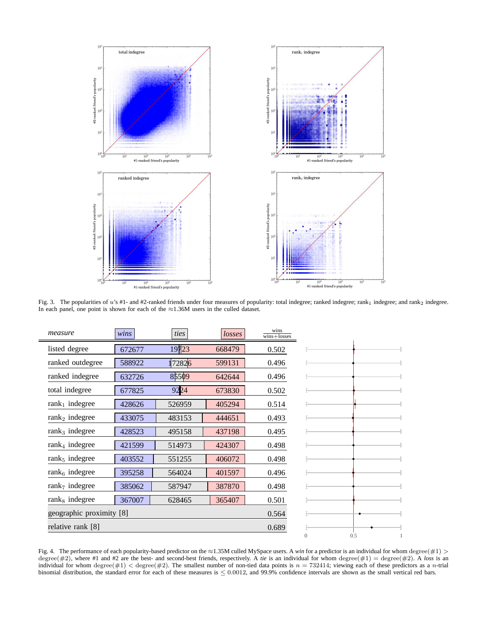

Fig. 3. The popularities of u's #1- and #2-ranked friends under four measures of popularity: total indegree; ranked indegree; rank<sub>1</sub> indegree; and rank<sub>2</sub> indegree. In each panel, one point is shown for each of the ≈1.36M users in the culled dataset.

| measure                    | wins   | ties   | losses | wins<br>$wins + losses$ |                 |
|----------------------------|--------|--------|--------|-------------------------|-----------------|
| listed degree              | 672677 | 19723  | 668479 | 0.502                   |                 |
| ranked outdegree           | 588922 | 172826 | 599131 | 0.496                   |                 |
| ranked indegree            | 632726 | 85509  | 642644 | 0.496                   |                 |
| total indegree             | 677825 | 9224   | 673830 | 0.502                   |                 |
| $rank1$ indegree           | 428626 | 526959 | 405294 | 0.514                   |                 |
| $rank2$ indegree           | 433075 | 483153 | 444651 | 0.493                   |                 |
| $rank3$ indegree           | 428523 | 495158 | 437198 | 0.495                   |                 |
| $rank4$ indegree           | 421599 | 514973 | 424307 | 0.498                   |                 |
| $rank5$ indegree           | 403552 | 551255 | 406072 | 0.498                   |                 |
| $rank6$ indegree           | 395258 | 564024 | 401597 | 0.496                   |                 |
| rank <sub>7</sub> indegree | 385062 | 587947 | 387870 | 0.498                   |                 |
| $rank8$ indegree           | 367007 | 628465 | 365407 | 0.501                   |                 |
| geographic proximity [8]   |        |        |        | 0.564                   |                 |
| relative rank [8]          |        |        |        | 0.689                   |                 |
|                            |        |        |        |                         | 0.5<br>$\Omega$ |

Fig. 4. The performance of each popularity-based predictor on the ≈1.35M culled MySpace users. A *win* for a predictor is an individual for whom degree(#1) > degree( $\#2$ ), where  $\#1$  and  $\#2$  are the best- and second-best friends, respectively. A *tie* is an individual for whom degree( $\#1$ ) = degree( $\#2$ ). A *loss* is an individual for whom degree(#1) < degree(#2). The smallest number of non-tied data points is  $n = 732414$ ; viewing each of these predictors as a n-trial binomial distribution, the standard error for each of these measures is  $\leq 0.0012$ , and 99.9% confidence intervals are shown as the small vertical red bars.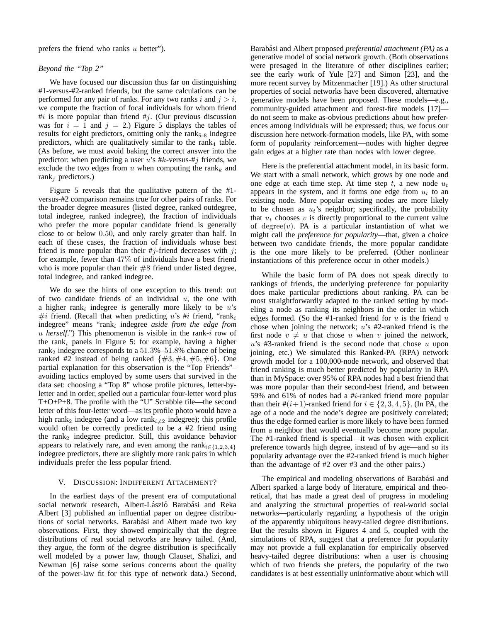prefers the friend who ranks  $u$  better").

# *Beyond the "Top 2"*

We have focused our discussion thus far on distinguishing #1-versus-#2-ranked friends, but the same calculations can be performed for any pair of ranks. For any two ranks i and  $j > i$ , we compute the fraction of focal individuals for whom friend  $\#i$  is more popular than friend  $\#j$ . (Our previous discussion was for  $i = 1$  and  $j = 2$ .) Figure 5 displays the tables of results for eight predictors, omitting only the rank $_{5-8}$  indegree predictors, which are qualitatively similar to the rank<sub>4</sub> table. (As before, we must avoid baking the correct answer into the predictor: when predicting a user  $u$ 's #k-versus-#j friends, we exclude the two edges from  $u$  when computing the rank<sub>k</sub> and rank<sub>j</sub> predictors.)

Figure 5 reveals that the qualitative pattern of the #1 versus-#2 comparison remains true for other pairs of ranks. For the broader degree measures (listed degree, ranked outdegree, total indegree, ranked indegree), the fraction of individuals who prefer the more popular candidate friend is generally close to or below 0.50, and only rarely greater than half. In each of these cases, the fraction of individuals whose best friend is more popular than their  $\#$ *j*-friend decreases with *j*; for example, fewer than 47% of individuals have a best friend who is more popular than their  $#8$  friend under listed degree, total indegree, and ranked indegree.

We do see the hints of one exception to this trend: out of two candidate friends of an individual  $u$ , the one with a higher  $rank_i$  indegree *is* generally more likely to be  $u$ 's #*i* friend. (Recall that when predicting u's #*i* friend, "rank<sub>i</sub> indegree" means "rank<sub>i</sub> indegree *aside from the edge from* u *herself*.") This phenomenon is visible in the rank-i row of the rank<sub>i</sub> panels in Figure 5: for example, having a higher rank<sub>2</sub> indegree corresponds to a  $51.3\%$ – $51.8\%$  chance of being ranked #2 instead of being ranked  $\{\#3, \#4, \#5, \#6\}$ . One partial explanation for this observation is the "Top Friends"– avoiding tactics employed by some users that survived in the data set: choosing a "Top 8" whose profile pictures, letter-byletter and in order, spelled out a particular four-letter word plus T+O+P+8. The profile with the "U" Scrabble tile—the second letter of this four-letter word—as its profile photo would have a high rank<sub>2</sub> indegree (and a low rank<sub>i $\neq$ 2 indegree); this profile</sub> would often be correctly predicted to be a #2 friend using the  $rank<sub>2</sub>$  indegree predictor. Still, this avoidance behavior appears to relatively rare, and even among the rank<sub>i∈{1,2,3,4}</sub> indegree predictors, there are slightly more rank pairs in which individuals prefer the less popular friend.

#### V. DISCUSSION: INDIFFERENT ATTACHMENT?

In the earliest days of the present era of computational social network research, Albert-László Barabási and Reka Albert [3] published an influential paper on degree distributions of social networks. Barabási and Albert made two key observations. First, they showed empirically that the degree distributions of real social networks are heavy tailed. (And, they argue, the form of the degree distribution is specifically well modeled by a power law, though Clauset, Shalizi, and Newman [6] raise some serious concerns about the quality of the power-law fit for this type of network data.) Second,

Barabási and Albert proposed *preferential attachment* (*PA*) as a generative model of social network growth. (Both observations were presaged in the literature of other disciplines earlier; see the early work of Yule [27] and Simon [23], and the more recent survey by Mitzenmacher [19].) As other structural properties of social networks have been discovered, alternative generative models have been proposed. These models—e.g., community-guided attachment and forest-fire models [17] do not seem to make as-obvious predictions about how preferences among individuals will be expressed; thus, we focus our discussion here network-formation models, like PA, with some form of popularity reinforcement—nodes with higher degree gain edges at a higher rate than nodes with lower degree.

Here is the preferential attachment model, in its basic form. We start with a small network, which grows by one node and one edge at each time step. At time step t, a new node  $u_t$ appears in the system, and it forms one edge from  $u_t$  to an existing node. More popular existing nodes are more likely to be chosen as  $u_t$ 's neighbor; specifically, the probability that  $u_t$  chooses v is directly proportional to the current value of degree $(v)$ . PA is a particular instantiation of what we might call the *preference for popularity*—that, given a choice between two candidate friends, the more popular candidate is the one more likely to be preferred. (Other nonlinear instantiations of this preference occur in other models.)

While the basic form of PA does not speak directly to rankings of friends, the underlying preference for popularity does make particular predictions about ranking. PA can be most straightforwardly adapted to the ranked setting by modeling a node as ranking its neighbors in the order in which edges formed. (So the #1-ranked friend for  $u$  is the friend  $u$ chose when joining the network;  $u$ 's #2-ranked friend is the first node  $v \neq u$  that chose u when v joined the network,  $u$ 's #3-ranked friend is the second node that chose  $u$  upon joining, etc.) We simulated this Ranked-PA (RPA) network growth model for a 100,000-node network, and observed that friend ranking is much better predicted by popularity in RPA than in MySpace: over 95% of RPA nodes had a best friend that was more popular than their second-best friend, and between 59% and 61% of nodes had a #i-ranked friend more popular than their  $\#(i+1)$ -ranked friend for  $i \in \{2, 3, 4, 5\}$ . (In PA, the age of a node and the node's degree are positively correlated; thus the edge formed earlier is more likely to have been formed from a neighbor that would eventually become more popular. The #1-ranked friend is special—it was chosen with explicit preference towards high degree, instead of by age—and so its popularity advantage over the #2-ranked friend is much higher than the advantage of #2 over #3 and the other pairs.)

The empirical and modeling observations of Barabási and Albert sparked a large body of literature, empirical and theoretical, that has made a great deal of progress in modeling and analyzing the structural properties of real-world social networks—particularly regarding a hypothesis of the origin of the apparently ubiquitous heavy-tailed degree distributions. But the results shown in Figures 4 and 5, coupled with the simulations of RPA, suggest that a preference for popularity may not provide a full explanation for empirically observed heavy-tailed degree distributions: when a user is choosing which of two friends she prefers, the popularity of the two candidates is at best essentially uninformative about which will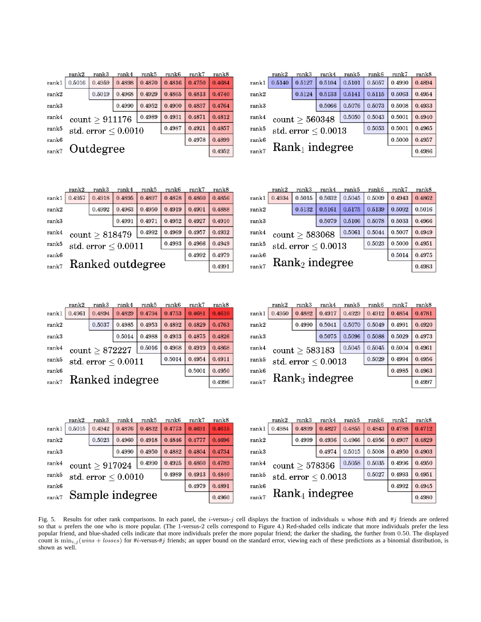|       | rank2            | rank3          | rank4                 | rank5  | rank6  | rank7  | rank8  |  |  |
|-------|------------------|----------------|-----------------------|--------|--------|--------|--------|--|--|
| rank1 | 0.5140           | 0.5127         | 0.5104                | 0.5101 | 0.5057 | 0.4990 | 0.4894 |  |  |
| rank2 |                  | 0.5124         | 0.5133                | 0.5141 | 0.5115 | 0.5063 | 0.4954 |  |  |
| rank3 |                  |                | 0.5066                | 0.5076 | 0.5073 | 0.5008 | 0.4933 |  |  |
| rank4 |                  | count > 560348 |                       | 0.5043 | 0.5001 | 0.4940 |        |  |  |
| rank5 |                  |                | std. $error < 0.0013$ |        | 0.5053 | 0.5001 | 0.4965 |  |  |
| rank6 |                  | 0.5000         |                       |        |        |        |        |  |  |
| rank7 | $Rank1$ indegree |                |                       |        |        |        |        |  |  |

|       | rank2     | rank3                    | rank4  | rank5  | rank6  | rank7  | rank8  |  |
|-------|-----------|--------------------------|--------|--------|--------|--------|--------|--|
| rank1 | 0.5016    | 0.4959                   | 0.4898 | 0.4870 | 0.4816 | 0.4750 | 0.4684 |  |
| rank2 |           | 0.5019                   | 0.4968 | 0.4929 | 0.4865 | 0.4813 | 0.4740 |  |
| rank3 |           |                          | 0.4990 | 0.4952 | 0.4900 | 0.4837 | 0.4764 |  |
| rank4 |           | count > 911176           |        | 0.4931 | 0.4871 | 0.4812 |        |  |
| rank5 |           | std. error $\leq 0.0010$ |        |        | 0.4987 | 0.4921 | 0.4857 |  |
| rank6 |           | 0.4978                   |        |        |        |        |        |  |
| rank7 | Outdegree |                          | 0.4952 |        |        |        |        |  |

|       | rank2            | rank3               | rank4                 | rank5  | rank6  | rank7  | rank8  |  |
|-------|------------------|---------------------|-----------------------|--------|--------|--------|--------|--|
| rank1 | 0.4934           | 0.5015              | 0.5032                | 0.5045 | 0.5009 | 0.4943 | 0.4862 |  |
| rank2 |                  | 0.5132              | 0.5161                | 0.5175 | 0.5139 | 0.5092 | 0.5016 |  |
| rank3 |                  |                     | 0.5079                | 0.5106 | 0.5078 | 0.5033 | 0.4966 |  |
| rank4 |                  | $count \geq 583068$ | 0.5044                | 0.5007 | 0.4949 |        |        |  |
| rank5 |                  |                     | std. $error < 0.0013$ |        | 0.5023 | 0.5000 | 0.4951 |  |
| rank6 | 0.5014           |                     |                       |        |        |        |        |  |
| rank7 | $Rank2$ indegree |                     |                       |        |        |        |        |  |

|       | rank2            | rank3          | rank4                 | rank5  | rank6  | rank7  | rank8  |  |  |
|-------|------------------|----------------|-----------------------|--------|--------|--------|--------|--|--|
| rank1 | 0.4957           | 0.4918         | 0.4895                | 0.4897 | 0.4878 | 0.4860 | 0.4856 |  |  |
| rank2 |                  | 0.4992         | 0.4963                | 0.4950 | 0.4919 | 0.4901 | 0.4888 |  |  |
| rank3 |                  |                | 0.4991                | 0.4971 | 0.4952 | 0.4927 | 0.4910 |  |  |
| rank4 |                  | count > 818479 |                       | 0.4992 | 0.4969 | 0.4957 | 0.4932 |  |  |
| rank5 |                  |                | std. $error < 0.0011$ |        | 0.4993 | 0.4966 | 0.4949 |  |  |
| rank6 |                  | 0.4992         |                       |        |        |        |        |  |  |
| rank7 | Ranked outdegree |                |                       |        |        |        |        |  |  |

|       | rank2           | rank3                    | rank4  | rank5  | rank6  | rank7  | rank8  |  |  |  |
|-------|-----------------|--------------------------|--------|--------|--------|--------|--------|--|--|--|
| rank1 | 0.4961          | 0.4894                   | 0.4829 | 0.4794 | 0.4753 | 0.4681 | 0.4610 |  |  |  |
| rank2 |                 | 0.5037                   | 0.4985 | 0.4953 | 0.4892 | 0.4829 | 0.4763 |  |  |  |
| rank3 |                 |                          | 0.5014 | 0.4988 | 0.4933 | 0.4875 | 0.4826 |  |  |  |
| rank4 |                 | $count \geq 872227$      |        | 0.5016 | 0.4968 | 0.4919 | 0.4868 |  |  |  |
| rank5 |                 | std. error $\leq 0.0011$ |        |        | 0.5014 | 0.4954 | 0.4911 |  |  |  |
| rank6 |                 | 0.5001                   |        |        |        |        |        |  |  |  |
| rank7 | Ranked indegree |                          |        |        |        |        |        |  |  |  |

|       | rank2  | rank3                      | rank4                 | rank5  | rank6  | rank7  | rank8  |  |  |
|-------|--------|----------------------------|-----------------------|--------|--------|--------|--------|--|--|
| rank1 | 0.4950 | 0.4882                     | 0.4917                | 0.4929 | 0.4912 | 0.4854 | 0.4781 |  |  |
| rank2 |        | 0.4990                     | 0.5041                | 0.5070 | 0.5049 | 0.4991 | 0.4920 |  |  |
| rank3 |        |                            | 0.5075                | 0.5096 | 0.5088 | 0.5029 | 0.4973 |  |  |
| rank4 |        | count > 583183             |                       | 0.5045 | 0.5004 | 0.4961 |        |  |  |
| rank5 |        |                            | std. $error < 0.0013$ |        | 0.5029 | 0.4994 | 0.4956 |  |  |
| rank6 |        | 0.4985<br>$Rank3$ indegree |                       |        |        |        |        |  |  |
| rank7 |        | 0.4997                     |                       |        |        |        |        |  |  |

|       | rank2           | rank3          | rank4                 | rank5  | rank6  | rank7  | rank8  |
|-------|-----------------|----------------|-----------------------|--------|--------|--------|--------|
| rank1 | 0.5015          | 0.4942         | 0.4876                | 0.4832 | 0.4773 | 0.4691 | 0.4615 |
| rank2 |                 | 0.5023         | 0.4960                | 0.4918 | 0.4846 | 0.4777 | 0.4696 |
| rank3 |                 |                | 0.4990                | 0.4950 | 0.4882 | 0.4804 | 0.4734 |
| rank4 |                 | count > 917024 | 0.4925                | 0.4860 | 0.4789 |        |        |
| rank5 |                 |                | std. $error < 0.0010$ |        | 0.4989 | 0.4913 | 0.4840 |
| rank6 |                 |                | 0.4979                | 0.4891 |        |        |        |
| rank7 | Sample indegree |                |                       |        |        |        |        |

|        | rank2  | rank3             | rank4                 | rank5  | rank6  | rank7  | rank8  |  |  |
|--------|--------|-------------------|-----------------------|--------|--------|--------|--------|--|--|
| rank 1 | 0.4984 | 0.4899            | 0.4827                | 0.4855 | 0.4843 | 0.4788 | 0.4712 |  |  |
| rank2  |        | 0.4999            | 0.4936                | 0.4966 | 0.4956 | 0.4907 | 0.4829 |  |  |
| rank3  |        |                   | 0.4974                | 0.5015 | 0.5008 | 0.4950 | 0.4903 |  |  |
| rank4  |        | count > 578356    |                       | 0.5035 | 0.4996 | 0.4950 |        |  |  |
| rank5  |        |                   | std. $error < 0.0013$ | 0.5027 | 0.4993 | 0.4951 |        |  |  |
| rank6  |        | 0.4992            |                       |        |        |        |        |  |  |
| rank7  |        | $Rank_4$ indegree |                       |        |        |        |        |  |  |

Fig. 5. Results for other rank comparisons. In each panel, the i-versus-j cell displays the fraction of individuals u whose #ith and #j friends are ordered so that u prefers the one who is more popular. (The 1-versus-2 cells correspond to Figure 4.) Red-shaded cells indicate that more individuals prefer the less popular friend, and blue-shaded cells indicate that more individuals prefer the more popular friend; the darker the shading, the further from 0.50. The displayed count is min<sub>i,j</sub> (wins + losses) for #i-versus-#j friends; an upper bound on the standard error, viewing each of these predictions as a binomial distribution, is shown as well.